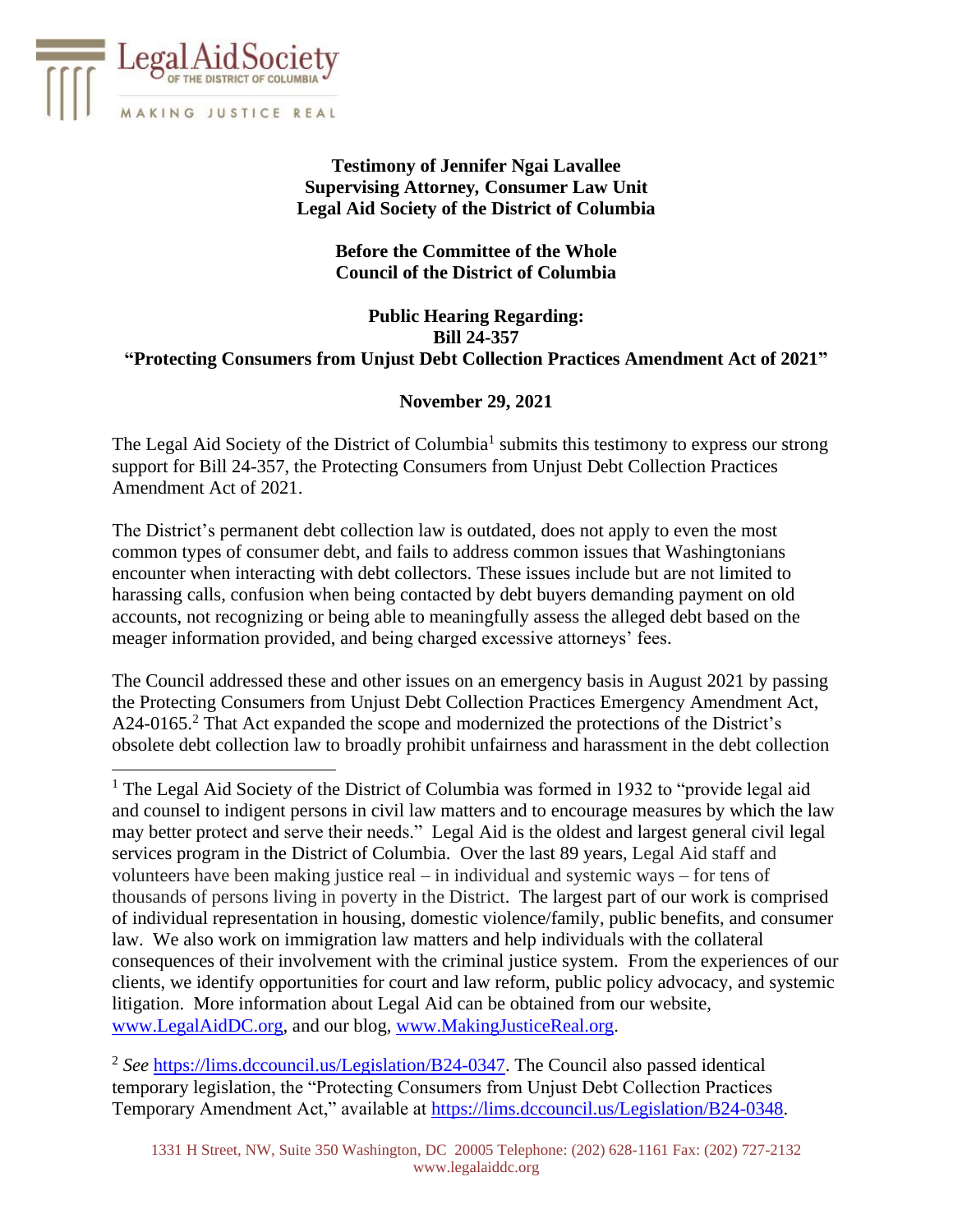

# **Testimony of Jennifer Ngai Lavallee Supervising Attorney***,* **Consumer Law Unit Legal Aid Society of the District of Columbia**

## **Before the Committee of the Whole Council of the District of Columbia**

## **Public Hearing Regarding: Bill 24-357 "Protecting Consumers from Unjust Debt Collection Practices Amendment Act of 2021"**

# **November 29, 2021**

The Legal Aid Society of the District of Columbia<sup>1</sup> submits this testimony to express our strong support for Bill 24-357, the Protecting Consumers from Unjust Debt Collection Practices Amendment Act of 2021.

The District's permanent debt collection law is outdated, does not apply to even the most common types of consumer debt, and fails to address common issues that Washingtonians encounter when interacting with debt collectors. These issues include but are not limited to harassing calls, confusion when being contacted by debt buyers demanding payment on old accounts, not recognizing or being able to meaningfully assess the alleged debt based on the meager information provided, and being charged excessive attorneys' fees.

The Council addressed these and other issues on an emergency basis in August 2021 by passing the Protecting Consumers from Unjust Debt Collection Practices Emergency Amendment Act, A24-0165.<sup>2</sup> That Act expanded the scope and modernized the protections of the District's obsolete debt collection law to broadly prohibit unfairness and harassment in the debt collection

<sup>1</sup> The Legal Aid Society of the District of Columbia was formed in 1932 to "provide legal aid and counsel to indigent persons in civil law matters and to encourage measures by which the law may better protect and serve their needs." Legal Aid is the oldest and largest general civil legal services program in the District of Columbia. Over the last 89 years, Legal Aid staff and volunteers have been making justice real – in individual and systemic ways – for tens of thousands of persons living in poverty in the District. The largest part of our work is comprised of individual representation in housing, domestic violence/family, public benefits, and consumer law. We also work on immigration law matters and help individuals with the collateral consequences of their involvement with the criminal justice system. From the experiences of our clients, we identify opportunities for court and law reform, public policy advocacy, and systemic litigation. More information about Legal Aid can be obtained from our website, [www.LegalAidDC.org,](http://www.legalaiddc.org/) and our blog, [www.MakingJusticeReal.org.](http://www.makingjusticereal.org/)

<sup>2</sup> See [https://lims.dccouncil.us/Legislation/B24-0347.](https://lims.dccouncil.us/Legislation/B24-0347) The Council also passed identical temporary legislation, the "Protecting Consumers from Unjust Debt Collection Practices Temporary Amendment Act," available at [https://lims.dccouncil.us/Legislation/B24-0348.](https://lims.dccouncil.us/Legislation/B24-0348)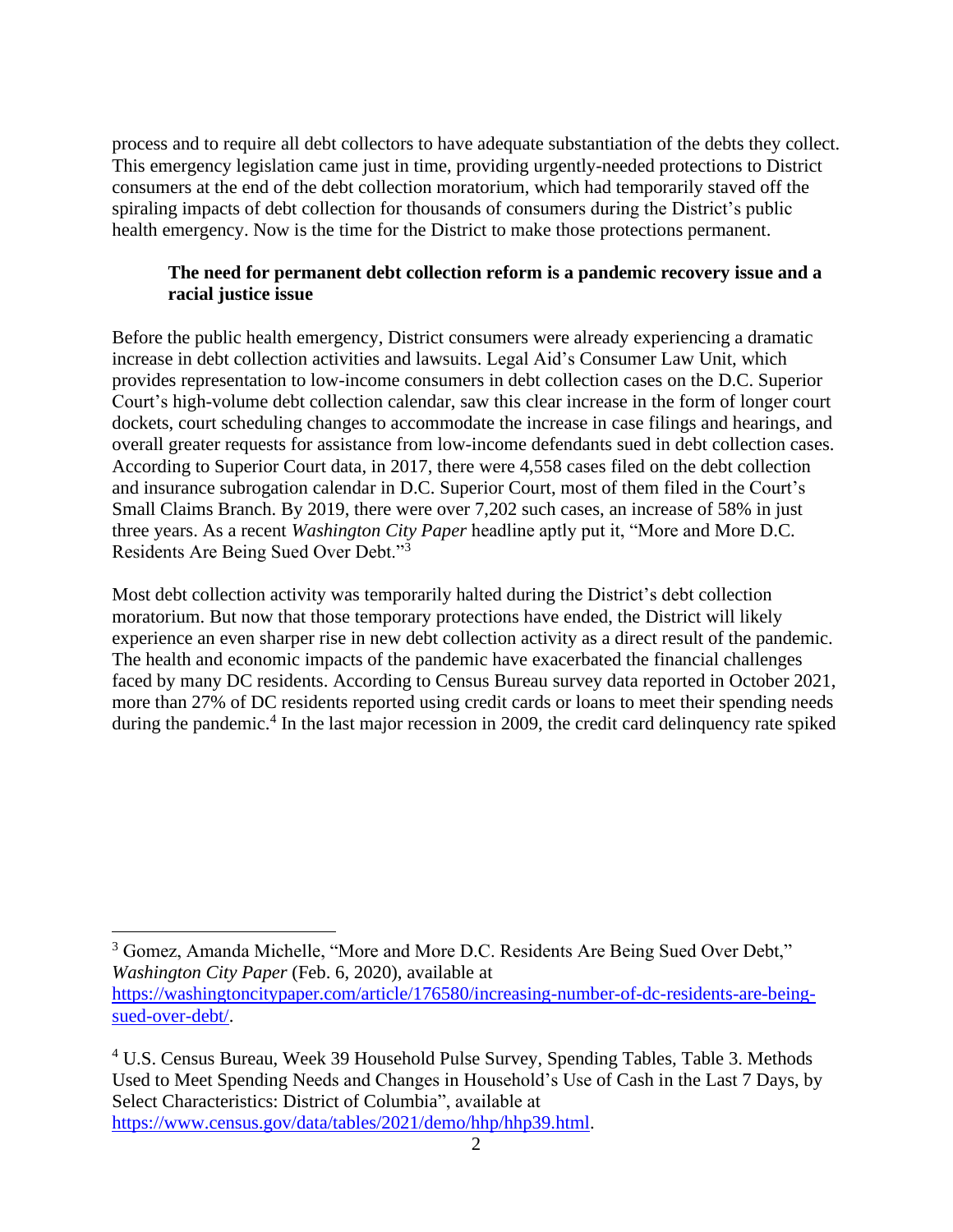process and to require all debt collectors to have adequate substantiation of the debts they collect. This emergency legislation came just in time, providing urgently-needed protections to District consumers at the end of the debt collection moratorium, which had temporarily staved off the spiraling impacts of debt collection for thousands of consumers during the District's public health emergency. Now is the time for the District to make those protections permanent.

# **The need for permanent debt collection reform is a pandemic recovery issue and a racial justice issue**

Before the public health emergency, District consumers were already experiencing a dramatic increase in debt collection activities and lawsuits. Legal Aid's Consumer Law Unit, which provides representation to low-income consumers in debt collection cases on the D.C. Superior Court's high-volume debt collection calendar, saw this clear increase in the form of longer court dockets, court scheduling changes to accommodate the increase in case filings and hearings, and overall greater requests for assistance from low-income defendants sued in debt collection cases. According to Superior Court data, in 2017, there were 4,558 cases filed on the debt collection and insurance subrogation calendar in D.C. Superior Court, most of them filed in the Court's Small Claims Branch. By 2019, there were over 7,202 such cases, an increase of 58% in just three years. As a recent *Washington City Paper* headline aptly put it, "More and More D.C. Residents Are Being Sued Over Debt."<sup>3</sup>

Most debt collection activity was temporarily halted during the District's debt collection moratorium. But now that those temporary protections have ended, the District will likely experience an even sharper rise in new debt collection activity as a direct result of the pandemic. The health and economic impacts of the pandemic have exacerbated the financial challenges faced by many DC residents. According to Census Bureau survey data reported in October 2021, more than 27% of DC residents reported using credit cards or loans to meet their spending needs during the pandemic.<sup>4</sup> In the last major recession in 2009, the credit card delinquency rate spiked

<sup>3</sup> Gomez, Amanda Michelle, "More and More D.C. Residents Are Being Sued Over Debt," *Washington City Paper* (Feb. 6, 2020), available at [https://washingtoncitypaper.com/article/176580/increasing-number-of-dc-residents-are-being](https://washingtoncitypaper.com/article/176580/increasing-number-of-dc-residents-are-being-sued-over-debt/)[sued-over-debt/.](https://washingtoncitypaper.com/article/176580/increasing-number-of-dc-residents-are-being-sued-over-debt/)

<sup>4</sup> U.S. Census Bureau, Week 39 Household Pulse Survey, Spending Tables, Table 3. Methods Used to Meet Spending Needs and Changes in Household's Use of Cash in the Last 7 Days, by Select Characteristics: District of Columbia", available at [https://www.census.gov/data/tables/2021/demo/hhp/hhp39.html.](https://www.census.gov/data/tables/2021/demo/hhp/hhp39.html)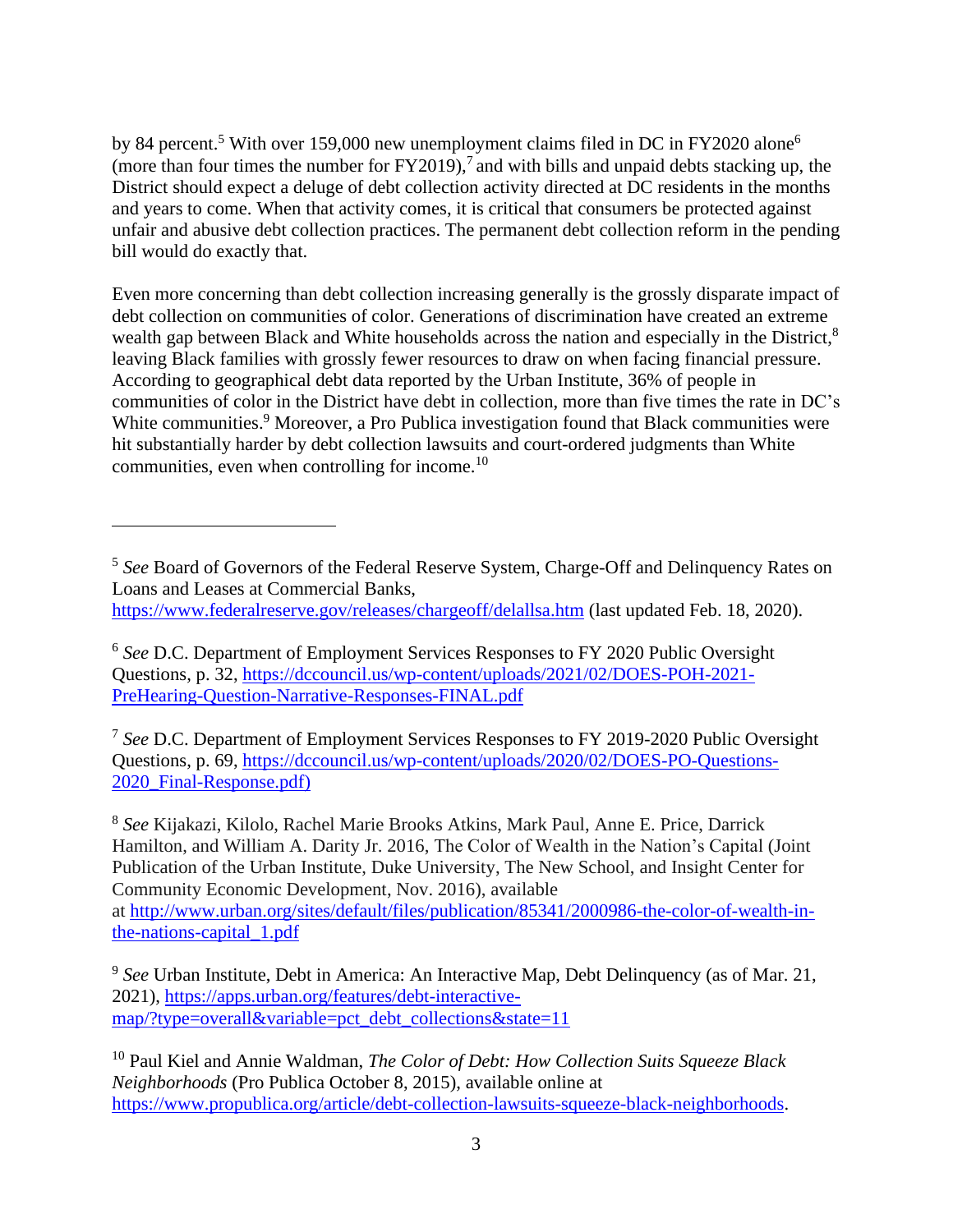by 84 percent.<sup>5</sup> With over 159,000 new unemployment claims filed in DC in FY2020 alone<sup>6</sup> (more than four times the number for  $FY2019$ ),<sup>7</sup> and with bills and unpaid debts stacking up, the District should expect a deluge of debt collection activity directed at DC residents in the months and years to come. When that activity comes, it is critical that consumers be protected against unfair and abusive debt collection practices. The permanent debt collection reform in the pending bill would do exactly that.

Even more concerning than debt collection increasing generally is the grossly disparate impact of debt collection on communities of color. Generations of discrimination have created an extreme wealth gap between Black and White households across the nation and especially in the District,<sup>8</sup> leaving Black families with grossly fewer resources to draw on when facing financial pressure. According to geographical debt data reported by the Urban Institute, 36% of people in communities of color in the District have debt in collection, more than five times the rate in DC's White communities.<sup>9</sup> Moreover, a Pro Publica investigation found that Black communities were hit substantially harder by debt collection lawsuits and court-ordered judgments than White communities, even when controlling for income.<sup>10</sup>

7 *See* D.C. Department of Employment Services Responses to FY 2019-2020 Public Oversight Questions, p. 69, [https://dccouncil.us/wp-content/uploads/2020/02/DOES-PO-Questions-](https://dccouncil.us/wp-content/uploads/2020/02/DOES-PO-Questions-2020_Final-Response.pdf))[2020\\_Final-Response.pdf\)](https://dccouncil.us/wp-content/uploads/2020/02/DOES-PO-Questions-2020_Final-Response.pdf))

8 *See* Kijakazi, Kilolo, Rachel Marie Brooks Atkins, Mark Paul, Anne E. Price, Darrick Hamilton, and William A. Darity Jr. 2016, The Color of Wealth in the Nation's Capital (Joint Publication of the Urban Institute, Duke University, The New School, and Insight Center for Community Economic Development, Nov. 2016), available

at [http://www.urban.org/sites/default/files/publication/85341/2000986-the-color-of-wealth-in](http://www.urban.org/sites/default/files/publication/85341/2000986-the-color-of-wealth-in-the-nations-capital_1.pdf)[the-nations-capital\\_1.pdf](http://www.urban.org/sites/default/files/publication/85341/2000986-the-color-of-wealth-in-the-nations-capital_1.pdf)

<sup>10</sup> Paul Kiel and Annie Waldman, *The Color of Debt: How Collection Suits Squeeze Black Neighborhoods* (Pro Publica October 8, 2015), available online at [https://www.propublica.org/article/debt-collection-lawsuits-squeeze-black-neighborhoods.](https://www.propublica.org/article/debt-collection-lawsuits-squeeze-black-neighborhoods)

<sup>&</sup>lt;sup>5</sup> See Board of Governors of the Federal Reserve System, Charge-Off and Delinquency Rates on Loans and Leases at Commercial Banks, <https://www.federalreserve.gov/releases/chargeoff/delallsa.htm> (last updated Feb. 18, 2020).

<sup>6</sup> *See* D.C. Department of Employment Services Responses to FY 2020 Public Oversight Questions, p. 32, [https://dccouncil.us/wp-content/uploads/2021/02/DOES-POH-2021-](https://dccouncil.us/wp-content/uploads/2021/02/DOES-POH-2021-PreHearing-Question-Narrative-Responses-FINAL.pdf) [PreHearing-Question-Narrative-Responses-FINAL.pdf](https://dccouncil.us/wp-content/uploads/2021/02/DOES-POH-2021-PreHearing-Question-Narrative-Responses-FINAL.pdf)

<sup>&</sup>lt;sup>9</sup> See Urban Institute, Debt in America: An Interactive Map, Debt Delinquency (as of Mar. 21, 2021), [https://apps.urban.org/features/debt-interactive](https://apps.urban.org/features/debt-interactive-map/?type=overall&variable=pct_debt_collections&state=11)[map/?type=overall&variable=pct\\_debt\\_collections&state=11](https://apps.urban.org/features/debt-interactive-map/?type=overall&variable=pct_debt_collections&state=11)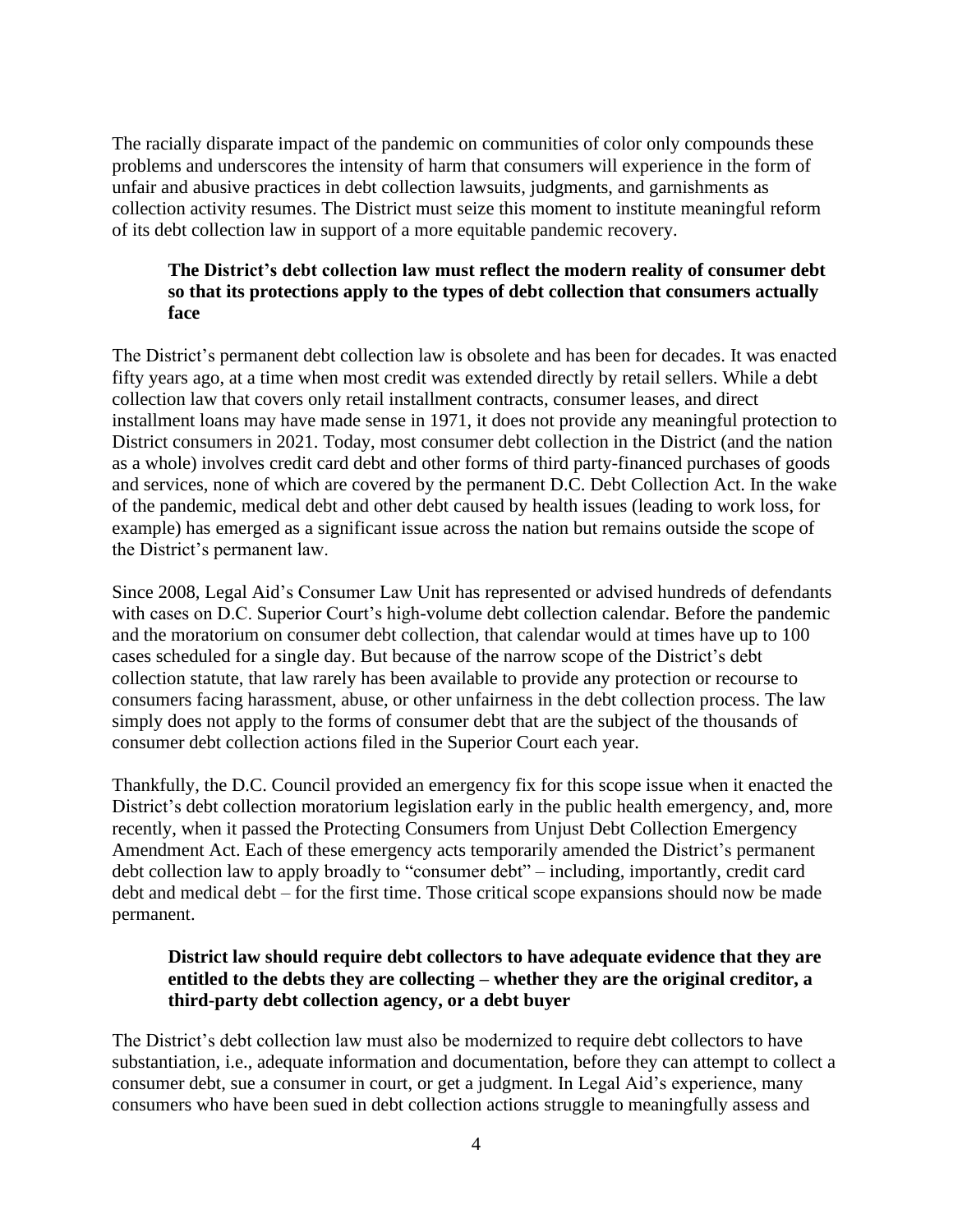The racially disparate impact of the pandemic on communities of color only compounds these problems and underscores the intensity of harm that consumers will experience in the form of unfair and abusive practices in debt collection lawsuits, judgments, and garnishments as collection activity resumes. The District must seize this moment to institute meaningful reform of its debt collection law in support of a more equitable pandemic recovery.

## **The District's debt collection law must reflect the modern reality of consumer debt so that its protections apply to the types of debt collection that consumers actually face**

The District's permanent debt collection law is obsolete and has been for decades. It was enacted fifty years ago, at a time when most credit was extended directly by retail sellers. While a debt collection law that covers only retail installment contracts, consumer leases, and direct installment loans may have made sense in 1971, it does not provide any meaningful protection to District consumers in 2021. Today, most consumer debt collection in the District (and the nation as a whole) involves credit card debt and other forms of third party-financed purchases of goods and services, none of which are covered by the permanent D.C. Debt Collection Act. In the wake of the pandemic, medical debt and other debt caused by health issues (leading to work loss, for example) has emerged as a significant issue across the nation but remains outside the scope of the District's permanent law.

Since 2008, Legal Aid's Consumer Law Unit has represented or advised hundreds of defendants with cases on D.C. Superior Court's high-volume debt collection calendar. Before the pandemic and the moratorium on consumer debt collection, that calendar would at times have up to 100 cases scheduled for a single day. But because of the narrow scope of the District's debt collection statute, that law rarely has been available to provide any protection or recourse to consumers facing harassment, abuse, or other unfairness in the debt collection process. The law simply does not apply to the forms of consumer debt that are the subject of the thousands of consumer debt collection actions filed in the Superior Court each year.

Thankfully, the D.C. Council provided an emergency fix for this scope issue when it enacted the District's debt collection moratorium legislation early in the public health emergency, and, more recently, when it passed the Protecting Consumers from Unjust Debt Collection Emergency Amendment Act. Each of these emergency acts temporarily amended the District's permanent debt collection law to apply broadly to "consumer debt" – including, importantly, credit card debt and medical debt – for the first time. Those critical scope expansions should now be made permanent.

## **District law should require debt collectors to have adequate evidence that they are entitled to the debts they are collecting – whether they are the original creditor, a third-party debt collection agency, or a debt buyer**

The District's debt collection law must also be modernized to require debt collectors to have substantiation, i.e., adequate information and documentation, before they can attempt to collect a consumer debt, sue a consumer in court, or get a judgment. In Legal Aid's experience, many consumers who have been sued in debt collection actions struggle to meaningfully assess and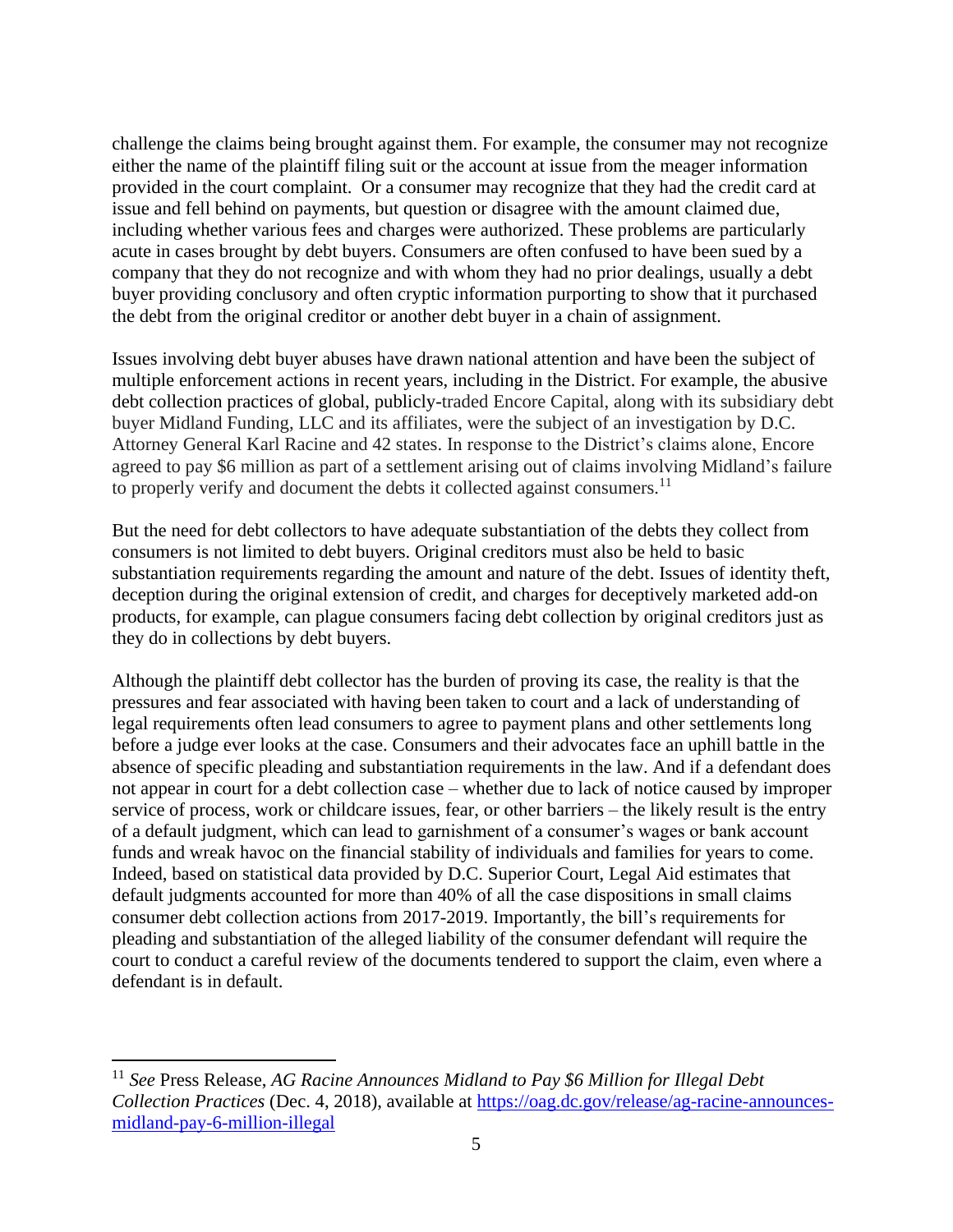challenge the claims being brought against them. For example, the consumer may not recognize either the name of the plaintiff filing suit or the account at issue from the meager information provided in the court complaint. Or a consumer may recognize that they had the credit card at issue and fell behind on payments, but question or disagree with the amount claimed due, including whether various fees and charges were authorized. These problems are particularly acute in cases brought by debt buyers. Consumers are often confused to have been sued by a company that they do not recognize and with whom they had no prior dealings, usually a debt buyer providing conclusory and often cryptic information purporting to show that it purchased the debt from the original creditor or another debt buyer in a chain of assignment.

Issues involving debt buyer abuses have drawn national attention and have been the subject of multiple enforcement actions in recent years, including in the District. For example, the abusive debt collection practices of global, publicly-traded Encore Capital, along with its subsidiary debt buyer Midland Funding, LLC and its affiliates, were the subject of an investigation by D.C. Attorney General Karl Racine and 42 states. In response to the District's claims alone, Encore agreed to pay \$6 million as part of a settlement arising out of claims involving Midland's failure to properly verify and document the debts it collected against consumers.<sup>11</sup>

But the need for debt collectors to have adequate substantiation of the debts they collect from consumers is not limited to debt buyers. Original creditors must also be held to basic substantiation requirements regarding the amount and nature of the debt. Issues of identity theft, deception during the original extension of credit, and charges for deceptively marketed add-on products, for example, can plague consumers facing debt collection by original creditors just as they do in collections by debt buyers.

Although the plaintiff debt collector has the burden of proving its case, the reality is that the pressures and fear associated with having been taken to court and a lack of understanding of legal requirements often lead consumers to agree to payment plans and other settlements long before a judge ever looks at the case. Consumers and their advocates face an uphill battle in the absence of specific pleading and substantiation requirements in the law. And if a defendant does not appear in court for a debt collection case – whether due to lack of notice caused by improper service of process, work or childcare issues, fear, or other barriers – the likely result is the entry of a default judgment, which can lead to garnishment of a consumer's wages or bank account funds and wreak havoc on the financial stability of individuals and families for years to come. Indeed, based on statistical data provided by D.C. Superior Court, Legal Aid estimates that default judgments accounted for more than 40% of all the case dispositions in small claims consumer debt collection actions from 2017-2019. Importantly, the bill's requirements for pleading and substantiation of the alleged liability of the consumer defendant will require the court to conduct a careful review of the documents tendered to support the claim, even where a defendant is in default.

<sup>11</sup> *See* Press Release, *AG Racine Announces Midland to Pay \$6 Million for Illegal Debt Collection Practices* (Dec. 4, 2018), available at [https://oag.dc.gov/release/ag-racine-announces](https://oag.dc.gov/release/ag-racine-announces-midland-pay-6-million-illegal)[midland-pay-6-million-illegal](https://oag.dc.gov/release/ag-racine-announces-midland-pay-6-million-illegal)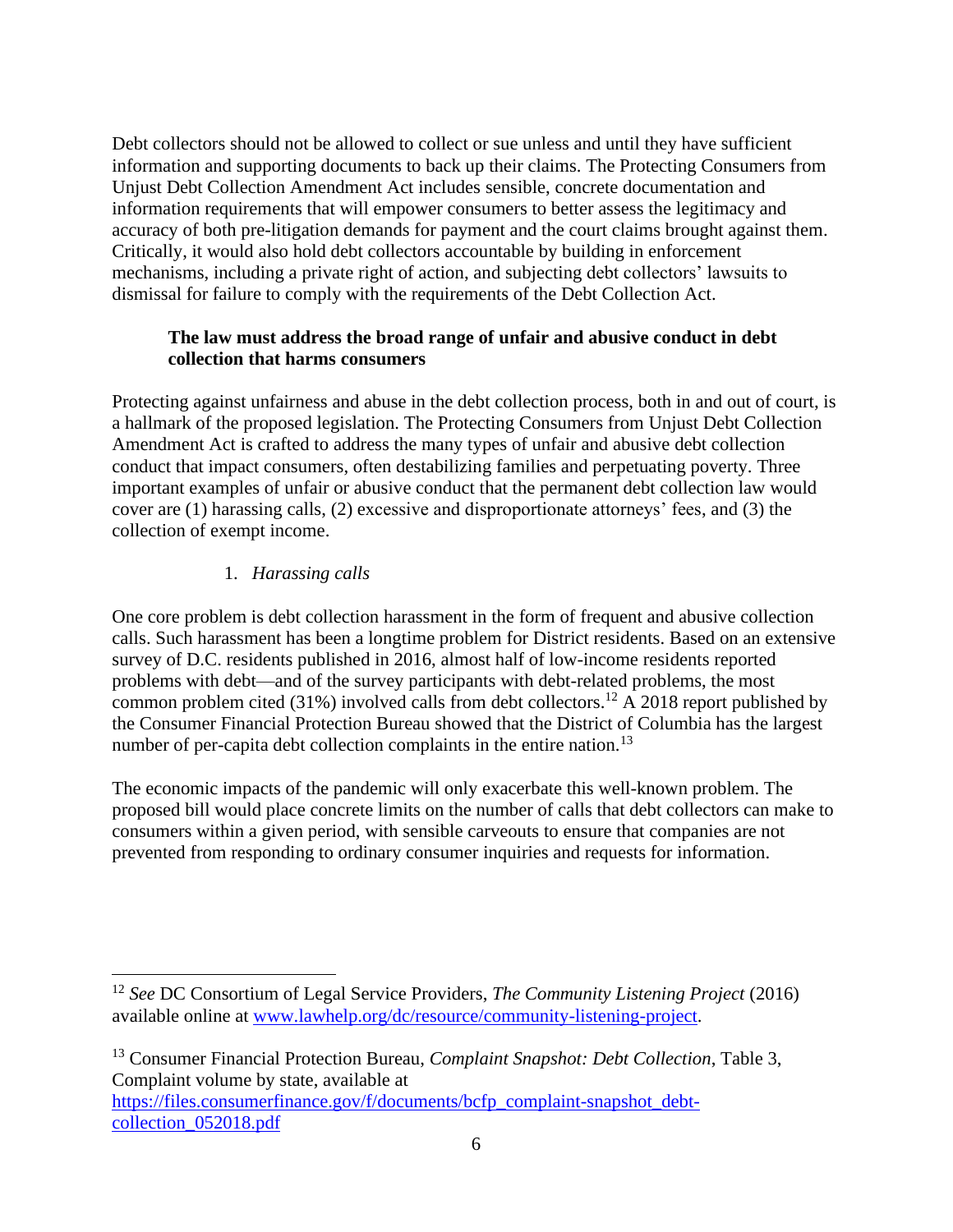Debt collectors should not be allowed to collect or sue unless and until they have sufficient information and supporting documents to back up their claims. The Protecting Consumers from Unjust Debt Collection Amendment Act includes sensible, concrete documentation and information requirements that will empower consumers to better assess the legitimacy and accuracy of both pre-litigation demands for payment and the court claims brought against them. Critically, it would also hold debt collectors accountable by building in enforcement mechanisms, including a private right of action, and subjecting debt collectors' lawsuits to dismissal for failure to comply with the requirements of the Debt Collection Act.

# **The law must address the broad range of unfair and abusive conduct in debt collection that harms consumers**

Protecting against unfairness and abuse in the debt collection process, both in and out of court, is a hallmark of the proposed legislation. The Protecting Consumers from Unjust Debt Collection Amendment Act is crafted to address the many types of unfair and abusive debt collection conduct that impact consumers, often destabilizing families and perpetuating poverty. Three important examples of unfair or abusive conduct that the permanent debt collection law would cover are (1) harassing calls, (2) excessive and disproportionate attorneys' fees, and (3) the collection of exempt income.

# 1. *Harassing calls*

One core problem is debt collection harassment in the form of frequent and abusive collection calls. Such harassment has been a longtime problem for District residents. Based on an extensive survey of D.C. residents published in 2016, almost half of low-income residents reported problems with debt—and of the survey participants with debt-related problems, the most common problem cited (31%) involved calls from debt collectors.<sup>12</sup> A 2018 report published by the Consumer Financial Protection Bureau showed that the District of Columbia has the largest number of per-capita debt collection complaints in the entire nation.<sup>13</sup>

The economic impacts of the pandemic will only exacerbate this well-known problem. The proposed bill would place concrete limits on the number of calls that debt collectors can make to consumers within a given period, with sensible carveouts to ensure that companies are not prevented from responding to ordinary consumer inquiries and requests for information.

<sup>13</sup> Consumer Financial Protection Bureau, *Complaint Snapshot: Debt Collection*, Table 3, Complaint volume by state, available at [https://files.consumerfinance.gov/f/documents/bcfp\\_complaint-snapshot\\_debt](https://files.consumerfinance.gov/f/documents/bcfp_complaint-snapshot_debt-collection_052018.pdf)[collection\\_052018.pdf](https://files.consumerfinance.gov/f/documents/bcfp_complaint-snapshot_debt-collection_052018.pdf)

<sup>12</sup> *See* DC Consortium of Legal Service Providers, *The Community Listening Project* (2016) available online at [www.lawhelp.org/dc/resource/community-listening-project.](http://www.lawhelp.org/dc/resource/community-listening-project)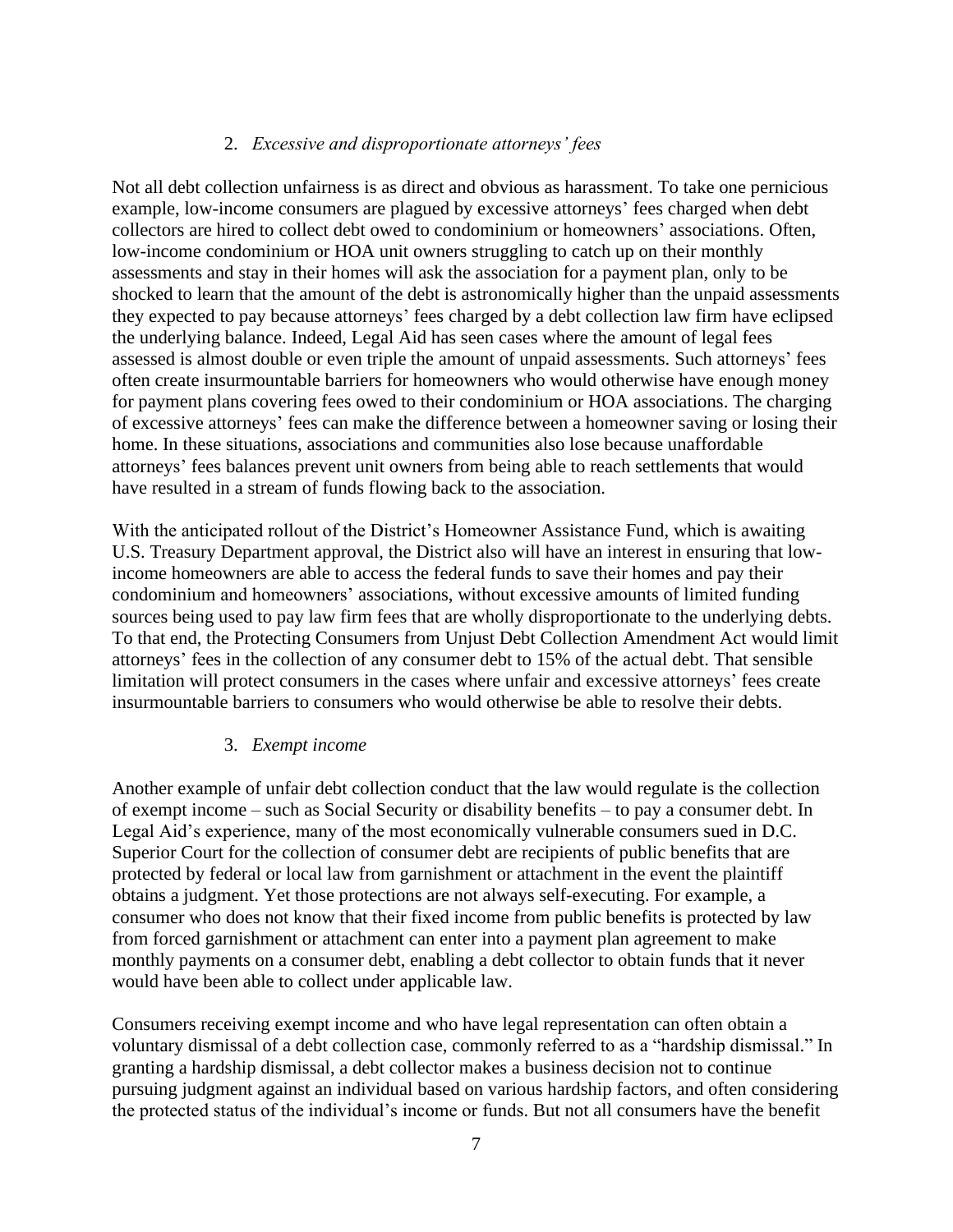## 2. *Excessive and disproportionate attorneys' fees*

Not all debt collection unfairness is as direct and obvious as harassment. To take one pernicious example, low-income consumers are plagued by excessive attorneys' fees charged when debt collectors are hired to collect debt owed to condominium or homeowners' associations. Often, low-income condominium or HOA unit owners struggling to catch up on their monthly assessments and stay in their homes will ask the association for a payment plan, only to be shocked to learn that the amount of the debt is astronomically higher than the unpaid assessments they expected to pay because attorneys' fees charged by a debt collection law firm have eclipsed the underlying balance. Indeed, Legal Aid has seen cases where the amount of legal fees assessed is almost double or even triple the amount of unpaid assessments. Such attorneys' fees often create insurmountable barriers for homeowners who would otherwise have enough money for payment plans covering fees owed to their condominium or HOA associations. The charging of excessive attorneys' fees can make the difference between a homeowner saving or losing their home. In these situations, associations and communities also lose because unaffordable attorneys' fees balances prevent unit owners from being able to reach settlements that would have resulted in a stream of funds flowing back to the association.

With the anticipated rollout of the District's Homeowner Assistance Fund, which is awaiting U.S. Treasury Department approval, the District also will have an interest in ensuring that lowincome homeowners are able to access the federal funds to save their homes and pay their condominium and homeowners' associations, without excessive amounts of limited funding sources being used to pay law firm fees that are wholly disproportionate to the underlying debts. To that end, the Protecting Consumers from Unjust Debt Collection Amendment Act would limit attorneys' fees in the collection of any consumer debt to 15% of the actual debt. That sensible limitation will protect consumers in the cases where unfair and excessive attorneys' fees create insurmountable barriers to consumers who would otherwise be able to resolve their debts.

#### 3. *Exempt income*

Another example of unfair debt collection conduct that the law would regulate is the collection of exempt income – such as Social Security or disability benefits – to pay a consumer debt. In Legal Aid's experience, many of the most economically vulnerable consumers sued in D.C. Superior Court for the collection of consumer debt are recipients of public benefits that are protected by federal or local law from garnishment or attachment in the event the plaintiff obtains a judgment. Yet those protections are not always self-executing. For example, a consumer who does not know that their fixed income from public benefits is protected by law from forced garnishment or attachment can enter into a payment plan agreement to make monthly payments on a consumer debt, enabling a debt collector to obtain funds that it never would have been able to collect under applicable law.

Consumers receiving exempt income and who have legal representation can often obtain a voluntary dismissal of a debt collection case, commonly referred to as a "hardship dismissal." In granting a hardship dismissal, a debt collector makes a business decision not to continue pursuing judgment against an individual based on various hardship factors, and often considering the protected status of the individual's income or funds. But not all consumers have the benefit